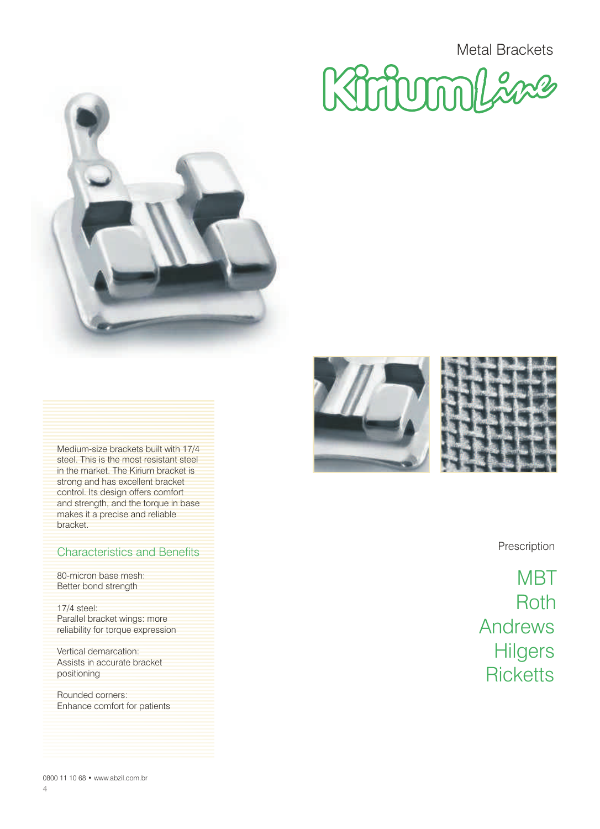Kiriumlaa



Medium-size brackets built with 17/4 steel. This is the most resistant steel in the market. The Kirium bracket is strong and has excellent bracket control. Its design offers comfort and strength, and the torque in base makes it a precise and reliable bracket.

### Characteristics and Benefits **Prescription**

80-micron base mesh: Better bond strength

17/4 steel: Parallel bracket wings: more reliability for torque expression

Vertical demarcation: Assists in accurate bracket positioning

Rounded corners: Enhance comfort for patients





**MBT** Roth Andrews **Hilgers Ricketts**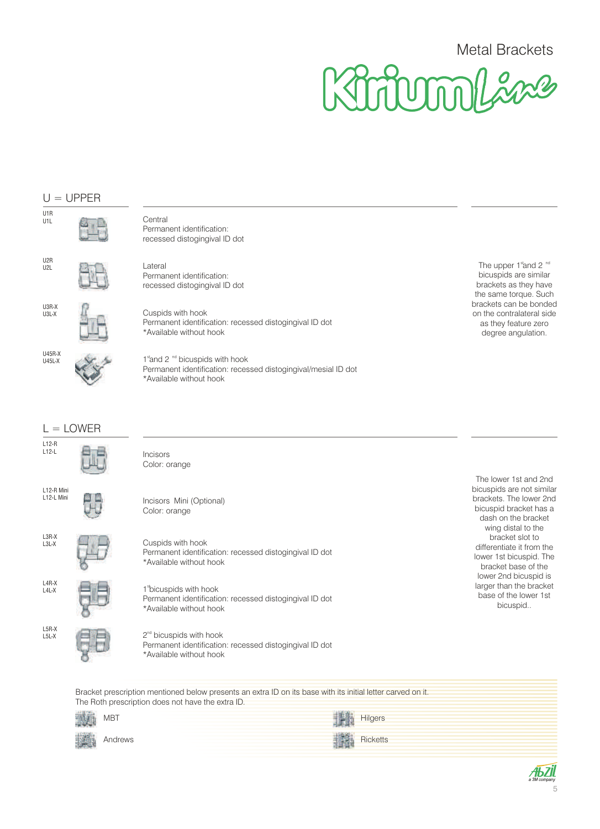

#### U1R U1L U2R U2L U3R-X U3L-X U45R-X U45L-X The upper 1st and 2 nd bicuspids are similar brackets as they have the same torque. Such brackets can be bonded on the contralateral side as they feature zero degree angulation.  $U = UPPER$  $L =$  LOWER L4R-X L4L-X L5R-X L5L-X L3R-X L3L-X L12-R Mini L<sub>12</sub>-L Mini L12-R L12-L The lower 1st and 2nd bicuspids are not similar brackets. The lower 2nd bicuspid bracket has a dash on the bracket wing distal to the bracket slot to differentiate it from the lower 1st bicuspid. The bracket base of the lower 2nd bicuspid is larger than the bracket base of the lower 1st bicuspid.. **Central** Permanent identification: recessed distogingival ID dot Lateral Permanent identification: recessed distogingival ID dot Cuspids with hook Permanent identification: recessed distogingival ID dot \*Available without hook 1<sup>st</sup> and 2<sup>nd</sup> bicuspids with hook Permanent identification: recessed distogingival/mesial ID dot \*Available without hook Incisors Color: orange Cuspids with hook Permanent identification: recessed distogingival ID dot \*Available without hook 1<sup>st</sup> bicuspids with hook Permanent identification: recessed distogingival ID dot \*Available without hook  $2<sup>nd</sup>$  bicuspids with hook Permanent identification: recessed distogingival ID dot \*Available without hook Incisors Mini (Optional) Color: orange

Bracket prescription mentioned below presents an extra ID on its base with its initial letter carved on it. The Roth prescription does not have the extra ID.



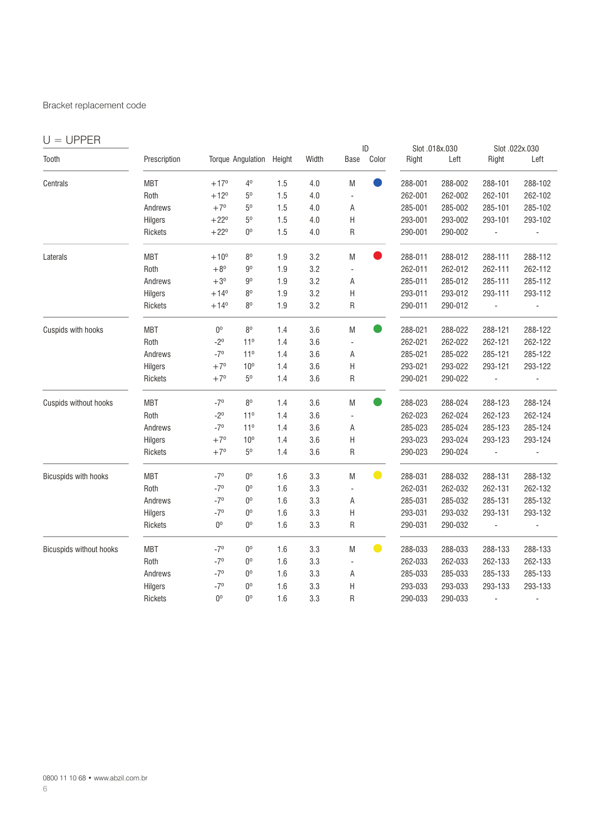#### Bracket replacement code

| $U = UPPER$                 |              |                |                          |     |       |                           | ID        |         | Slot .018x.030 |                | Slot .022x.030 |
|-----------------------------|--------------|----------------|--------------------------|-----|-------|---------------------------|-----------|---------|----------------|----------------|----------------|
| Tooth                       | Prescription |                | Torque Angulation Height |     | Width | Base                      | Color     | Right   | Left           | Right          | Left           |
| Centrals                    | <b>MBT</b>   | $+17^{\circ}$  | 4 <sup>0</sup>           | 1.5 | 4.0   | M                         |           | 288-001 | 288-002        | 288-101        | 288-102        |
|                             | Roth         | $+12^{\circ}$  | $5^{\rm o}$              | 1.5 | 4.0   |                           |           | 262-001 | 262-002        | 262-101        | 262-102        |
|                             | Andrews      | $+7°$          | $5^{\rm o}$              | 1.5 | 4.0   | Α                         |           | 285-001 | 285-002        | 285-101        | 285-102        |
|                             | Hilgers      | $+22^{\circ}$  | $5^{\rm o}$              | 1.5 | 4.0   | Н                         |           | 293-001 | 293-002        | 293-101        | 293-102        |
|                             | Rickets      | $+22^{\circ}$  | $0^{\circ}$              | 1.5 | 4.0   | R                         |           | 290-001 | 290-002        | $\blacksquare$ | ÷,             |
| Laterals                    | <b>MBT</b>   | $+10^{\circ}$  | 8 <sup>0</sup>           | 1.9 | 3.2   | M                         | $\bullet$ | 288-011 | 288-012        | 288-111        | 288-112        |
|                             | Roth         | $+8^{\circ}$   | 9 <sup>0</sup>           | 1.9 | 3.2   | ÷,                        |           | 262-011 | 262-012        | 262-111        | 262-112        |
|                             | Andrews      | $+3^\circ$     | $9^{\circ}$              | 1.9 | 3.2   | Α                         |           | 285-011 | 285-012        | 285-111        | 285-112        |
|                             | Hilgers      | $+14^{\circ}$  | 8 <sup>0</sup>           | 1.9 | 3.2   | Н                         |           | 293-011 | 293-012        | 293-111        | 293-112        |
|                             | Rickets      | $+14^{\circ}$  | 80                       | 1.9 | 3.2   | R                         |           | 290-011 | 290-012        | $\overline{a}$ |                |
| Cuspids with hooks          | <b>MBT</b>   | 0 <sup>o</sup> | 8 <sup>0</sup>           | 1.4 | 3.6   | M                         |           | 288-021 | 288-022        | 288-121        | 288-122        |
|                             | Roth         | $-2^{0}$       | 11 <sup>0</sup>          | 1.4 | 3.6   |                           |           | 262-021 | 262-022        | 262-121        | 262-122        |
|                             | Andrews      | $-7°$          | 11 <sup>0</sup>          | 1.4 | 3.6   | Α                         |           | 285-021 | 285-022        | 285-121        | 285-122        |
|                             | Hilgers      | $+7^{\circ}$   | 10 <sup>o</sup>          | 1.4 | 3.6   | $\boldsymbol{\mathsf{H}}$ |           | 293-021 | 293-022        | 293-121        | 293-122        |
|                             | Rickets      | $+7^\circ$     | $5^{\rm o}$              | 1.4 | 3.6   | R                         |           | 290-021 | 290-022        | $\Box$         | $\overline{a}$ |
| Cuspids without hooks       | <b>MBT</b>   | $-7^{\circ}$   | 80                       | 1.4 | 3.6   | M                         | $\bullet$ | 288-023 | 288-024        | 288-123        | 288-124        |
|                             | Roth         | $-2^{0}$       | 11 <sup>0</sup>          | 1.4 | 3.6   | ÷,                        |           | 262-023 | 262-024        | 262-123        | 262-124        |
|                             | Andrews      | $-7°$          | 11 <sup>0</sup>          | 1.4 | 3.6   | Α                         |           | 285-023 | 285-024        | 285-123        | 285-124        |
|                             | Hilgers      | $+7°$          | 10 <sup>o</sup>          | 1.4 | 3.6   | H                         |           | 293-023 | 293-024        | 293-123        | 293-124        |
|                             | Rickets      | $+7^\circ$     | $5^{\rm o}$              | 1.4 | 3.6   | R                         |           | 290-023 | 290-024        | $\overline{a}$ |                |
| <b>Bicuspids with hooks</b> | <b>MBT</b>   | $-7°$          | $0^{\rm o}$              | 1.6 | 3.3   | M                         | $\bullet$ | 288-031 | 288-032        | 288-131        | 288-132        |
|                             | Roth         | $-7°$          | $0^{\rm o}$              | 1.6 | 3.3   | ÷,                        |           | 262-031 | 262-032        | 262-131        | 262-132        |
|                             | Andrews      | $-7°$          | $0^{\rm o}$              | 1.6 | 3.3   | Α                         |           | 285-031 | 285-032        | 285-131        | 285-132        |
|                             | Hilgers      | $-7°$          | $0^{\rm o}$              | 1.6 | 3.3   | Н                         |           | 293-031 | 293-032        | 293-131        | 293-132        |
|                             | Rickets      | 0 <sup>o</sup> | $0^{\rm o}$              | 1.6 | 3.3   | R                         |           | 290-031 | 290-032        | ä,             | ÷,             |
| Bicuspids without hooks     | <b>MBT</b>   | $-7°$          | 0 <sup>0</sup>           | 1.6 | 3.3   | M                         | $\bullet$ | 288-033 | 288-033        | 288-133        | 288-133        |
|                             | Roth         | $-7^{\circ}$   | 0 <sup>o</sup>           | 1.6 | 3.3   | ÷.                        |           | 262-033 | 262-033        | 262-133        | 262-133        |
|                             | Andrews      | $-7°$          | 0 <sup>0</sup>           | 1.6 | 3.3   | Α                         |           | 285-033 | 285-033        | 285-133        | 285-133        |
|                             | Hilgers      | $-7°$          | 0 <sup>o</sup>           | 1.6 | 3.3   | Н                         |           | 293-033 | 293-033        | 293-133        | 293-133        |
|                             | Rickets      | 0 <sup>o</sup> | 0 <sup>o</sup>           | 1.6 | 3.3   | R                         |           | 290-033 | 290-033        |                |                |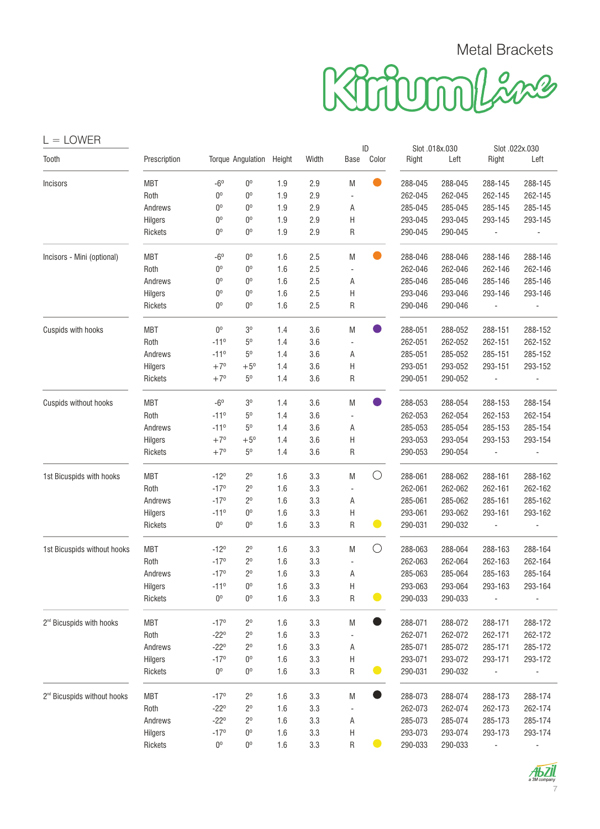| <b>LOWER</b><br>$=$                     |              |                |                   |        |         |                          |             |         |                        |                |                        |
|-----------------------------------------|--------------|----------------|-------------------|--------|---------|--------------------------|-------------|---------|------------------------|----------------|------------------------|
| Tooth                                   | Prescription |                | Torque Angulation | Height | Width   | Base                     | ID<br>Color | Right   | Slot .018x.030<br>Left | Right          | Slot .022x.030<br>Left |
| Incisors                                | <b>MBT</b>   | $-6^{\circ}$   | $0^{\rm o}$       | 1.9    | 2.9     | M                        |             | 288-045 | 288-045                | 288-145        | 288-145                |
|                                         | Roth         | $0^{\circ}$    | $0^{\circ}$       | 1.9    | 2.9     |                          |             | 262-045 | 262-045                | 262-145        | 262-145                |
|                                         | Andrews      | $0^{\circ}$    | $0^{\circ}$       | 1.9    | 2.9     | Α                        |             | 285-045 | 285-045                | 285-145        | 285-145                |
|                                         | Hilgers      | $0^{\circ}$    | $0^{\circ}$       | 1.9    | 2.9     | Н                        |             | 293-045 | 293-045                | 293-145        | 293-145                |
|                                         | Rickets      | $0^{\circ}$    | $0^{\circ}$       | 1.9    | 2.9     | R                        |             | 290-045 | 290-045                |                |                        |
| Incisors - Mini (optional)              | <b>MBT</b>   | $-6^{\circ}$   | $0^{\circ}$       | 1.6    | 2.5     | M                        |             | 288-046 | 288-046                | 288-146        | 288-146                |
|                                         | Roth         | $0^{\circ}$    | $0^{\circ}$       | 1.6    | 2.5     | ÷,                       |             | 262-046 | 262-046                | 262-146        | 262-146                |
|                                         | Andrews      | $0^{\circ}$    | $0^{\circ}$       | 1.6    | 2.5     | Α                        |             | 285-046 | 285-046                | 285-146        | 285-146                |
|                                         | Hilgers      | $0^{\circ}$    | $0^{\circ}$       | 1.6    | 2.5     | Н                        |             | 293-046 | 293-046                | 293-146        | 293-146                |
|                                         | Rickets      | $0^{\circ}$    | $0^{\circ}$       | 1.6    | 2.5     | R                        |             | 290-046 | 290-046                |                |                        |
| Cuspids with hooks                      | <b>MBT</b>   | 0 <sup>o</sup> | 3 <sup>0</sup>    | 1.4    | 3.6     | M                        |             | 288-051 | 288-052                | 288-151        | 288-152                |
|                                         | Roth         | $-11^0$        | 5 <sup>0</sup>    | 1.4    | 3.6     | $\overline{\phantom{a}}$ |             | 262-051 | 262-052                | 262-151        | 262-152                |
|                                         | Andrews      | $-11^0$        | 5 <sup>0</sup>    | 1.4    | 3.6     | Α                        |             | 285-051 | 285-052                | 285-151        | 285-152                |
|                                         | Hilgers      | $+7°$          | $+5^{\circ}$      | 1.4    | 3.6     | H                        |             | 293-051 | 293-052                | 293-151        | 293-152                |
|                                         | Rickets      | $+7°$          | 5 <sup>0</sup>    | 1.4    | 3.6     | R                        |             | 290-051 | 290-052                |                |                        |
| Cuspids without hooks                   | <b>MBT</b>   | $-6^\circ$     | 3 <sup>o</sup>    | 1.4    | 3.6     | M                        |             | 288-053 | 288-054                | 288-153        | 288-154                |
| 1st Bicuspids with hooks                | Roth         | $-11^{\circ}$  | 5 <sup>0</sup>    | 1.4    | 3.6     | ÷,                       |             | 262-053 | 262-054                | 262-153        | 262-154                |
|                                         | Andrews      | $-11^0$        | 5 <sup>0</sup>    | 1.4    | 3.6     | Α                        |             | 285-053 | 285-054                | 285-153        | 285-154                |
|                                         | Hilgers      | $+7^{\circ}$   | $+5^{\circ}$      | 1.4    | 3.6     | Η                        |             | 293-053 | 293-054                | 293-153        | 293-154                |
|                                         | Rickets      | $+7°$          | $5^{\rm o}$       | 1.4    | 3.6     | R                        |             | 290-053 | 290-054                |                |                        |
|                                         | <b>MBT</b>   | $-12°$         | $2^{\circ}$       | 1.6    | 3.3     | M                        | O           | 288-061 | 288-062                | 288-161        | 288-162                |
|                                         | Roth         | $-17°$         | $2^{\circ}$       | 1.6    | 3.3     | ÷,                       |             | 262-061 | 262-062                | 262-161        | 262-162                |
|                                         | Andrews      | $-17°$         | $2^{\circ}$       | 1.6    | 3.3     | Α                        |             | 285-061 | 285-062                | 285-161        | 285-162                |
|                                         | Hilgers      | $-11^0$        | $0^{\circ}$       | 1.6    | 3.3     | Н                        |             | 293-061 | 293-062                | 293-161        | 293-162                |
|                                         | Rickets      | 0 <sup>o</sup> | 0 <sup>0</sup>    | 1.6    | 3.3     | R                        | $\bullet$   | 290-031 | 290-032                | $\blacksquare$ |                        |
| 1st Bicuspids without hooks             | <b>MBT</b>   | $-12°$         | $2^{\circ}$       | 1.6    | 3.3     | M                        | O           | 288-063 | 288-064                | 288-163        | 288-164                |
|                                         | Roth         | $-17°$         | $2^{\circ}$       | 1.6    | 3.3     |                          |             | 262-063 | 262-064                | 262-163        | 262-164                |
|                                         | Andrews      | $-17°$         | 2 <sup>0</sup>    | 1.6    | 3.3     | Α                        |             | 285-063 | 285-064                | 285-163        | 285-164                |
|                                         | Hilgers      | $-110$         | $0^{\rm o}$       | 1.6    | 3.3     | Н                        |             | 293-063 | 293-064                | 293-163        | 293-164                |
|                                         | Rickets      | $0^{\circ}$    | $0^{\rm o}$       | 1.6    | 3.3     | R                        | $\bullet$   | 290-033 | 290-033                |                |                        |
| 2 <sup>nd</sup> Bicuspids with hooks    | MBT          | $-17°$         | $2^{\circ}$       | 1.6    | 3.3     | M                        |             | 288-071 | 288-072                | 288-171        | 288-172                |
|                                         | Roth         | $-22^{\circ}$  | $2^{\circ}$       | 1.6    | 3.3     |                          |             | 262-071 | 262-072                | 262-171        | 262-172                |
|                                         | Andrews      | $-22^{\circ}$  | $2^{\circ}$       | 1.6    | 3.3     | Α                        |             | 285-071 | 285-072                | 285-171        | 285-172                |
|                                         | Hilgers      | $-17°$         | $0^{\rm o}$       | 1.6    | 3.3     | Н                        |             | 293-071 | 293-072                | 293-171        | 293-172                |
|                                         | Rickets      | $0^{\rm o}$    | $0^{\rm o}$       | 1.6    | $3.3\,$ | R                        | $\bullet$   | 290-031 | 290-032                |                |                        |
| 2 <sup>nd</sup> Bicuspids without hooks | MBT          | $-17°$         | $2^{\rm o}$       | 1.6    | 3.3     | M                        |             | 288-073 | 288-074                | 288-173        | 288-174                |
|                                         | Roth         | $-22^{\circ}$  | $2^{\rm o}$       | 1.6    | 3.3     |                          |             | 262-073 | 262-074                | 262-173        | 262-174                |
|                                         | Andrews      | $-22^{\circ}$  | 2 <sup>0</sup>    | 1.6    | 3.3     | Α                        |             | 285-073 | 285-074                | 285-173        | 285-174                |
|                                         | Hilgers      | $-17°$         | $0^{\rm o}$       | 1.6    | 3.3     | Н                        |             | 293-073 | 293-074                | 293-173        | 293-174                |
|                                         | Rickets      | $0^{\rm o}$    | $0^{\rm o}$       | 1.6    | $3.3\,$ | ${\sf R}$                |             | 290-033 | 290-033                |                |                        |

 $A<sub>B</sub>Zil$ 7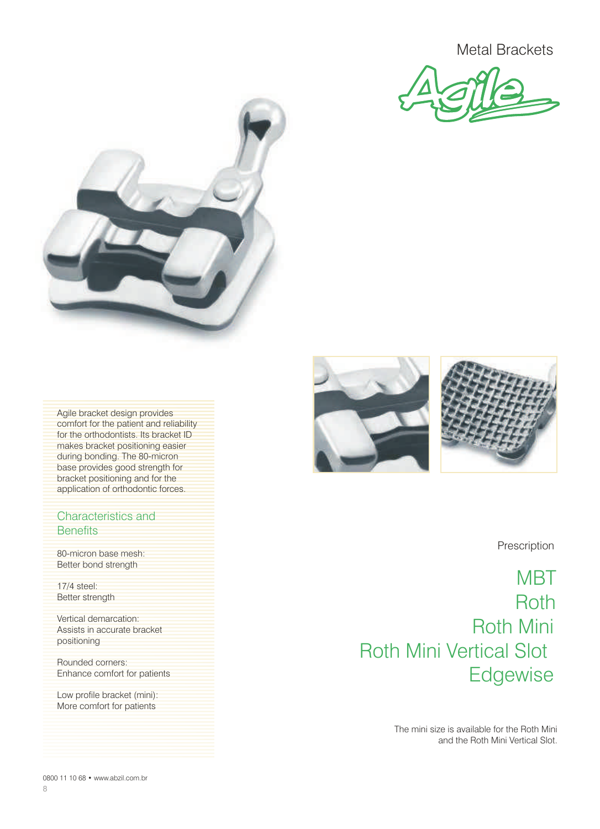



Agile bracket design provides comfort for the patient and reliability for the orthodontists. Its bracket ID makes bracket positioning easier during bonding. The 80-micron base provides good strength for bracket positioning and for the application of orthodontic forces.

#### Characteristics and **Benefits**

80-micron base mesh: Better bond strength

17/4 steel: Better strength

Vertical demarcation: Assists in accurate bracket positioning

Rounded corners: Enhance comfort for patients

Low profile bracket (mini): More comfort for patients



Prescription

**MBT** Roth Roth Mini Roth Mini Vertical Slot **Edgewise** 

> The mini size is available for the Roth Mini and the Roth Mini Vertical Slot.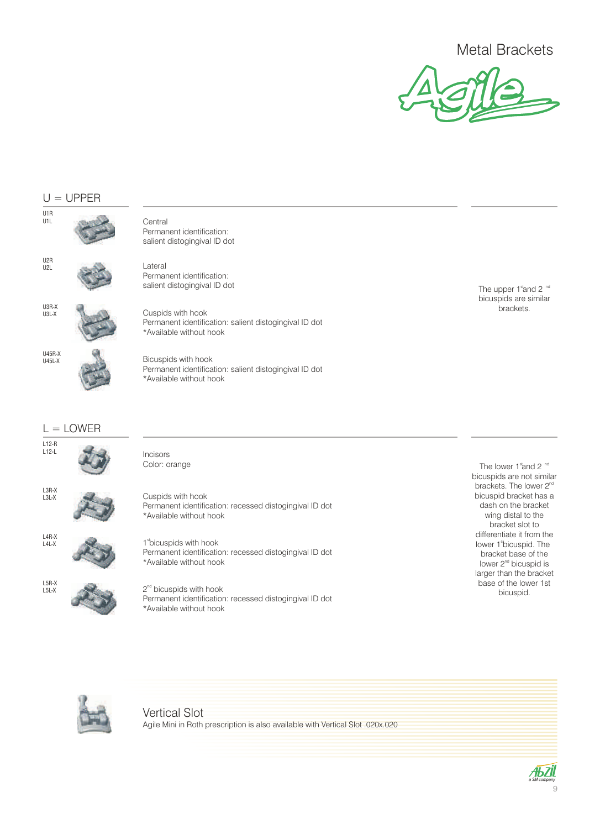

#### $U = UPPER$



\*Available without hook

2<sup>nd</sup> bicuspids with hook

\*Available without hook

The upper 1 stand 2 nd bicuspids are similar brackets.

The lower 1 stand 2 nd bicuspids are not similar brackets. The lower 2<sup>nd</sup> bicuspid bracket has a dash on the bracket wing distal to the bracket slot to differentiate it from the lower 1 bicuspid. The bracket base of the lower 2<sup>nd</sup> bicuspid is larger than the bracket base of the lower 1st bicuspid.



L5R-X L5L-X

> Vertical Slot Agile Mini in Roth prescription is also available with Vertical Slot .020x.020

Permanent identification: recessed distogingival ID dot

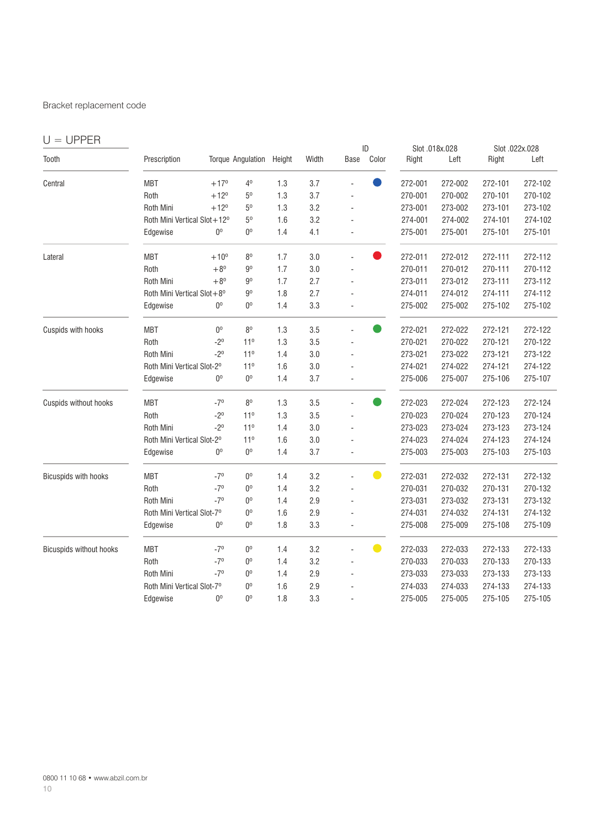#### Bracket replacement code

| $U = UPPER$                    |                             |                |                          |        |       |      |                |         |                        |         |                        |
|--------------------------------|-----------------------------|----------------|--------------------------|--------|-------|------|----------------|---------|------------------------|---------|------------------------|
| Tooth                          | Prescription                |                | <b>Torque Angulation</b> | Height | Width | Base | ID<br>Color    | Right   | Slot .018x.028<br>Left | Right   | Slot .022x.028<br>Left |
| Central                        | <b>MBT</b>                  | $+17^{\circ}$  | 40                       | 1.3    | 3.7   |      |                | 272-001 | 272-002                | 272-101 | 272-102                |
|                                | Roth                        | $+12^{\circ}$  | 5 <sup>0</sup>           | 1.3    | 3.7   |      |                | 270-001 | 270-002                | 270-101 | 270-102                |
|                                | Roth Mini                   | $+12^{\circ}$  | $5^{\rm o}$              | 1.3    | 3.2   |      |                | 273-001 | 273-002                | 273-101 | 273-102                |
|                                | Roth Mini Vertical Slot+12° |                | 5 <sup>0</sup>           | 1.6    | 3.2   |      |                | 274-001 | 274-002                | 274-101 | 274-102                |
|                                | Edgewise                    | 0 <sup>0</sup> | $0^{\rm o}$              | 1.4    | 4.1   |      |                | 275-001 | 275-001                | 275-101 | 275-101                |
| Lateral                        | <b>MBT</b>                  | $+10^{0}$      | 8 <sup>0</sup>           | 1.7    | 3.0   |      |                | 272-011 | 272-012                | 272-111 | 272-112                |
|                                | Roth                        | $+8^{0}$       | $9^{\rm o}$              | 1.7    | 3.0   | L.   |                | 270-011 | 270-012                | 270-111 | 270-112                |
|                                | Roth Mini                   | $+8^{0}$       | $9^{\circ}$              | 1.7    | 2.7   | ä,   |                | 273-011 | 273-012                | 273-111 | 273-112                |
|                                | Roth Mini Vertical Slot+8°  |                | 9 <sup>0</sup>           | 1.8    | 2.7   |      |                | 274-011 | 274-012                | 274-111 | 274-112                |
|                                | Edgewise                    | 0 <sup>o</sup> | $0^{\circ}$              | 1.4    | 3.3   | ÷,   |                | 275-002 | 275-002                | 275-102 | 275-102                |
| Cuspids with hooks             | <b>MBT</b>                  | 0 <sup>0</sup> | 8 <sup>0</sup>           | 1.3    | 3.5   |      |                | 272-021 | 272-022                | 272-121 | 272-122                |
|                                | Roth                        | $-2^{0}$       | 11 <sup>0</sup>          | 1.3    | 3.5   |      |                | 270-021 | 270-022                | 270-121 | 270-122                |
|                                | Roth Mini                   | $-2^{0}$       | 11 <sup>0</sup>          | 1.4    | 3.0   |      |                | 273-021 | 273-022                | 273-121 | 273-122                |
|                                | Roth Mini Vertical Slot-2°  |                | 11 <sup>0</sup>          | 1.6    | 3.0   |      |                | 274-021 | 274-022                | 274-121 | 274-122                |
|                                | Edgewise                    | 0 <sup>o</sup> | $0^{\circ}$              | 1.4    | 3.7   |      |                | 275-006 | 275-007                | 275-106 | 275-107                |
| Cuspids without hooks          | <b>MBT</b>                  | $-7°$          | 8 <sup>0</sup>           | 1.3    | 3.5   |      |                | 272-023 | 272-024                | 272-123 | 272-124                |
|                                | Roth                        | $-2^{0}$       | 11 <sup>0</sup>          | 1.3    | 3.5   |      |                | 270-023 | 270-024                | 270-123 | 270-124                |
|                                | <b>Roth Mini</b>            | $-2^{0}$       | 11 <sup>0</sup>          | 1.4    | 3.0   |      |                | 273-023 | 273-024                | 273-123 | 273-124                |
|                                | Roth Mini Vertical Slot-2°  |                | 11 <sup>0</sup>          | 1.6    | 3.0   |      |                | 274-023 | 274-024                | 274-123 | 274-124                |
|                                | Edgewise                    | 0 <sup>0</sup> | $0^{\circ}$              | 1.4    | 3.7   |      |                | 275-003 | 275-003                | 275-103 | 275-103                |
| Bicuspids with hooks           | <b>MBT</b>                  | $-7°$          | $0^{\rm o}$              | 1.4    | 3.2   |      | $\blacksquare$ | 272-031 | 272-032                | 272-131 | 272-132                |
|                                | Roth                        | $-7^{\circ}$   | 0 <sup>0</sup>           | 1.4    | 3.2   |      |                | 270-031 | 270-032                | 270-131 | 270-132                |
|                                | <b>Roth Mini</b>            | $-7°$          | $0^{\rm o}$              | 1.4    | 2.9   |      |                | 273-031 | 273-032                | 273-131 | 273-132                |
|                                | Roth Mini Vertical Slot-7°  |                | $0^{\rm o}$              | 1.6    | 2.9   |      |                | 274-031 | 274-032                | 274-131 | 274-132                |
|                                | Edgewise                    | 0 <sup>o</sup> | $0^{\rm o}$              | 1.8    | 3.3   |      |                | 275-008 | 275-009                | 275-108 | 275-109                |
| <b>Bicuspids without hooks</b> | <b>MBT</b>                  | $-7^{\circ}$   | 0 <sup>o</sup>           | 1.4    | 3.2   |      | $\bullet$      | 272-033 | 272-033                | 272-133 | 272-133                |
|                                | Roth                        | $-7^{\circ}$   | 0 <sup>0</sup>           | 1.4    | 3.2   |      |                | 270-033 | 270-033                | 270-133 | 270-133                |
|                                | <b>Roth Mini</b>            | $-7°$          | 0 <sup>0</sup>           | 1.4    | 2.9   |      |                | 273-033 | 273-033                | 273-133 | 273-133                |
|                                | Roth Mini Vertical Slot-7°  |                | 0 <sup>o</sup>           | 1.6    | 2.9   |      |                | 274-033 | 274-033                | 274-133 | 274-133                |
|                                | Edgewise                    | 0 <sup>o</sup> | 0 <sup>o</sup>           | 1.8    | 3.3   |      |                | 275-005 | 275-005                | 275-105 | 275-105                |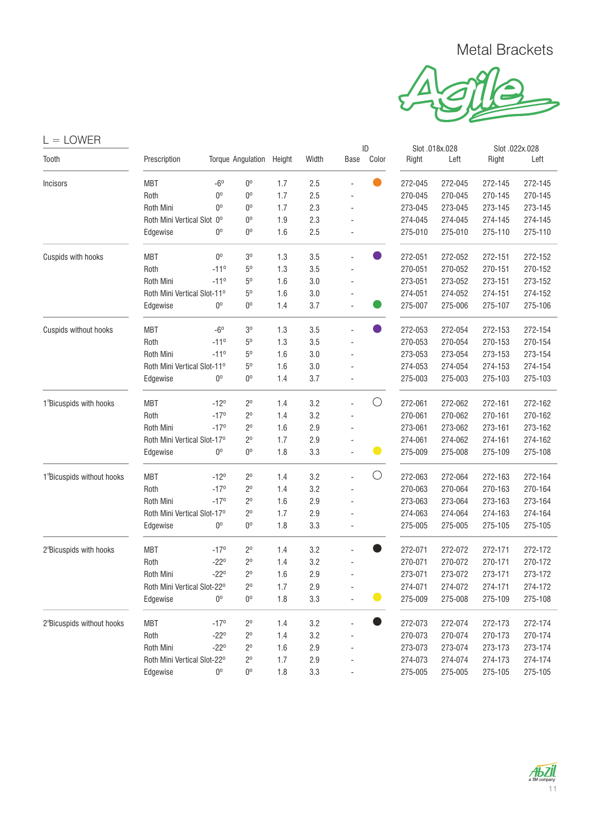

| )VV<br>JI |  |
|-----------|--|
|-----------|--|

| Tooth                                  | Prescription                |                | Torque Angulation Height |     | Width   | Base | Color          | Right   | Left    | Right   | Left    |
|----------------------------------------|-----------------------------|----------------|--------------------------|-----|---------|------|----------------|---------|---------|---------|---------|
| Incisors                               | <b>MBT</b>                  | $-6^{\circ}$   | $0^{\circ}$              | 1.7 | 2.5     |      |                | 272-045 | 272-045 | 272-145 | 272-145 |
|                                        | Roth                        | $0^{\circ}$    | 0 <sup>o</sup>           | 1.7 | 2.5     |      |                | 270-045 | 270-045 | 270-145 | 270-145 |
|                                        | Roth Mini                   | 0 <sup>0</sup> | 0 <sup>0</sup>           | 1.7 | 2.3     |      |                | 273-045 | 273-045 | 273-145 | 273-145 |
|                                        | Roth Mini Vertical Slot 0°  |                | 0 <sup>o</sup>           | 1.9 | 2.3     |      |                | 274-045 | 274-045 | 274-145 | 274-145 |
|                                        | Edgewise                    | $0^{\circ}$    | 0 <sup>o</sup>           | 1.6 | 2.5     |      |                | 275-010 | 275-010 | 275-110 | 275-110 |
| Cuspids with hooks                     | <b>MBT</b>                  | 0 <sup>0</sup> | 3 <sup>0</sup>           | 1.3 | 3.5     | ÷,   | $\blacksquare$ | 272-051 | 272-052 | 272-151 | 272-152 |
|                                        | Roth                        | $-110$         | 5 <sup>0</sup>           | 1.3 | 3.5     |      |                | 270-051 | 270-052 | 270-151 | 270-152 |
|                                        | Roth Mini                   | $-11^0$        | $5^{\circ}$              | 1.6 | 3.0     | ä,   |                | 273-051 | 273-052 | 273-151 | 273-152 |
|                                        | Roth Mini Vertical Slot-11º |                | 5 <sup>o</sup>           | 1.6 | 3.0     | ä,   |                | 274-051 | 274-052 | 274-151 | 274-152 |
|                                        | Edgewise                    | 0 <sup>0</sup> | 0 <sup>o</sup>           | 1.4 | 3.7     | ÷,   |                | 275-007 | 275-006 | 275-107 | 275-106 |
| Cuspids without hooks                  | <b>MBT</b>                  | $-6^\circ$     | 3 <sup>o</sup>           | 1.3 | 3.5     |      | $\bullet$      | 272-053 | 272-054 | 272-153 | 272-154 |
|                                        | Roth                        | $-11^0$        | 5 <sup>0</sup>           | 1.3 | 3.5     |      |                | 270-053 | 270-054 | 270-153 | 270-154 |
|                                        | Roth Mini                   | $-11^0$        | $5^{\circ}$              | 1.6 | 3.0     |      |                | 273-053 | 273-054 | 273-153 | 273-154 |
|                                        | Roth Mini Vertical Slot-11º |                | 5 <sup>0</sup>           | 1.6 | $3.0\,$ |      |                | 274-053 | 274-054 | 274-153 | 274-154 |
|                                        | Edgewise                    | $0^{\circ}$    | $0^{\circ}$              | 1.4 | 3.7     | ÷,   |                | 275-003 | 275-003 | 275-103 | 275-103 |
| 1 <sup>s</sup> Bicuspids with hooks    | <b>MBT</b>                  | $-12°$         | $2^{\circ}$              | 1.4 | 3.2     |      | $\bigcirc$     | 272-061 | 272-062 | 272-161 | 272-162 |
|                                        | Roth                        | $-17°$         | $2^{\circ}$              | 1.4 | 3.2     |      |                | 270-061 | 270-062 | 270-161 | 270-162 |
|                                        | Roth Mini                   | $-17°$         | $2^{\circ}$              | 1.6 | 2.9     |      |                | 273-061 | 273-062 | 273-161 | 273-162 |
|                                        | Roth Mini Vertical Slot-17° |                | $2^{\circ}$              | 1.7 | 2.9     | ä,   |                | 274-061 | 274-062 | 274-161 | 274-162 |
|                                        | Edgewise                    | $0^{\circ}$    | $0^{\circ}$              | 1.8 | 3.3     |      | $\bullet$      | 275-009 | 275-008 | 275-109 | 275-108 |
| 1 <sup>s</sup> Bicuspids without hooks | <b>MBT</b>                  | $-12°$         | $2^{\circ}$              | 1.4 | 3.2     | L.   | $\bigcirc$     | 272-063 | 272-064 | 272-163 | 272-164 |
|                                        | Roth                        | $-17°$         | $2^{\circ}$              | 1.4 | 3.2     | ÷,   |                | 270-063 | 270-064 | 270-163 | 270-164 |
|                                        | Roth Mini                   | $-17°$         | $2^{\circ}$              | 1.6 | 2.9     |      |                | 273-063 | 273-064 | 273-163 | 273-164 |
|                                        | Roth Mini Vertical Slot-17° |                | $2^{\circ}$              | 1.7 | 2.9     |      |                | 274-063 | 274-064 | 274-163 | 274-164 |
|                                        | Edgewise                    | 0 <sup>0</sup> | 0 <sup>o</sup>           | 1.8 | 3.3     |      |                | 275-005 | 275-005 | 275-105 | 275-105 |
| 2 <sup>s</sup> Bicuspids with hooks    | <b>MBT</b>                  | $-17°$         | $2^{\circ}$              | 1.4 | 3.2     |      |                | 272-071 | 272-072 | 272-171 | 272-172 |
|                                        | Roth                        | $-22^{\circ}$  | $2^{\circ}$              | 1.4 | 3.2     | ÷,   |                | 270-071 | 270-072 | 270-171 | 270-172 |
|                                        | Roth Mini                   | $-22°$         | $2^{\circ}$              | 1.6 | 2.9     | ÷,   |                | 273-071 | 273-072 | 273-171 | 273-172 |
|                                        | Roth Mini Vertical Slot-22° |                | $2^{\circ}$              | 1.7 | 2.9     |      |                | 274-071 | 274-072 | 274-171 | 274-172 |
|                                        | Edgewise                    | 0 <sup>o</sup> | 0 <sup>o</sup>           | 1.8 | 3.3     |      | $\bullet$      | 275-009 | 275-008 | 275-109 | 275-108 |
| 2 <sup>s</sup> Bicuspids without hooks | <b>MBT</b>                  | $-17°$         | $2^{\circ}$              | 1.4 | 3.2     | L.   | $\bullet$      | 272-073 | 272-074 | 272-173 | 272-174 |
|                                        | Roth                        | $-22^{\circ}$  | $2^{\circ}$              | 1.4 | 3.2     | ÷    |                | 270-073 | 270-074 | 270-173 | 270-174 |
|                                        | Roth Mini                   | $-22^{\circ}$  | $2^{\circ}$              | 1.6 | 2.9     |      |                | 273-073 | 273-074 | 273-173 | 273-174 |
|                                        | Roth Mini Vertical Slot-22° |                | $2^{\circ}$              | 1.7 | 2.9     |      |                | 274-073 | 274-074 | 274-173 | 274-174 |
|                                        | Edgewise                    | 0 <sup>0</sup> | 0 <sup>o</sup>           | 1.8 | 3.3     |      |                | 275-005 | 275-005 | 275-105 | 275-105 |

| ID        |         | Slot .018x.028 | Slot .022x.028 |         |
|-----------|---------|----------------|----------------|---------|
| Color     | Right   | Left           | Right          | Left    |
|           | 272-045 | 272-045        | 272-145        | 272-145 |
|           | 270-045 | 270-045        | 270-145        | 270-145 |
|           | 273-045 | 273-045        | 273-145        | 273-145 |
|           | 274-045 | 274-045        | 274-145        | 274-145 |
|           | 275-010 | 275-010        | 275-110        | 275-110 |
| m,        | 272-051 | 272-052        | 272-151        | 272-152 |
|           | 270-051 | 270-052        | 270-151        | 270-152 |
|           | 273-051 | 273-052        | 273-151        | 273-152 |
|           | 274-051 | 274-052        | 274-151        | 274-152 |
| O         | 275-007 | 275-006        | 275-107        | 275-106 |
|           | 272-053 | 272-054        | 272-153        | 272-154 |
|           | 270-053 | 270-054        | 270-153        | 270-154 |
|           | 273-053 | 273-054        | 273-153        | 273-154 |
|           | 274-053 | 274-054        | 274-153        | 274-154 |
|           | 275-003 | 275-003        | 275-103        | 275-103 |
| O         | 272-061 | 272-062        | 272-161        | 272-162 |
|           | 270-061 | 270-062        | 270-161        | 270-162 |
|           | 273-061 | 273-062        | 273-161        | 273-162 |
|           | 274-061 | 274-062        | 274-161        | 274-162 |
| $\bullet$ | 275-009 | 275-008        | 275-109        | 275-108 |
| C .       | 272-063 | 272-064        | 272-163        | 272-164 |
|           | 270-063 | 270-064        | 270-163        | 270-164 |
|           | 273-063 | 273-064        | 273-163        | 273-164 |
|           | 274-063 | 274-064        | 274-163        | 274-164 |
|           | 275-005 | 275-005        | 275-105        | 275-105 |
|           | 272-071 | 272-072        | 272-171        | 272-172 |
|           | 270-071 | 270-072        | 270-171        | 270-172 |
|           | 273-071 | 273-072        | 273-171        | 273-172 |
|           | 274-071 | 274-072        | 274-171        | 274-172 |
|           | 275-009 | 275-008        | 275-109        | 275-108 |
|           | 272-073 | 272-074        | 272-173        | 272-174 |
|           | 270-073 | 270-074        | 270-173        | 270-174 |
|           | 273-073 | 273-074        | 273-173        | 273-174 |
|           | 274-073 | 274-074        | 274-173        | 274-174 |
|           | 275-005 | 275-005        | 275-105        | 275-105 |

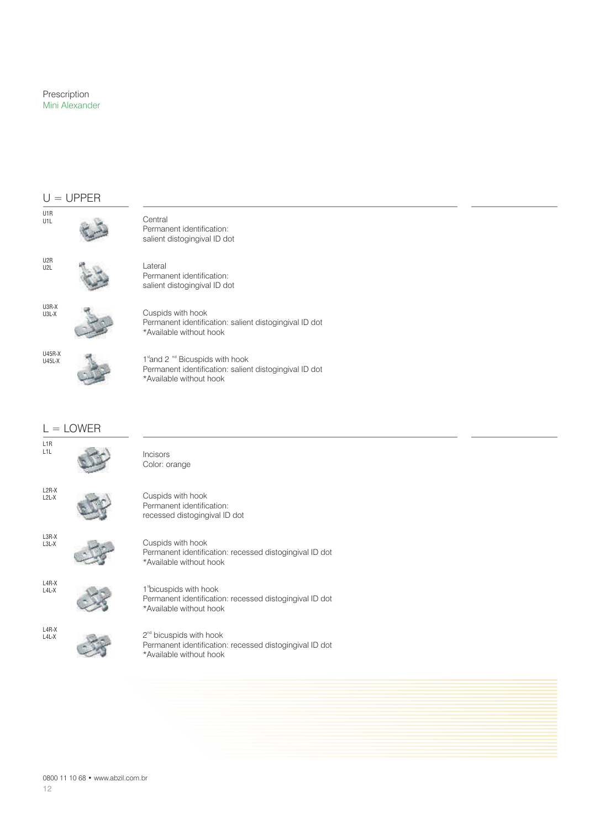#### $U = UPPER$

| U1R<br>U1L                  |             | Central<br>Permanent identification:<br>salient distogingival ID dot                                                             |
|-----------------------------|-------------|----------------------------------------------------------------------------------------------------------------------------------|
| U <sub>2</sub> R<br>U2L     |             | Lateral<br>Permanent identification:<br>salient distogingival ID dot                                                             |
| U3R-X<br>U3L-X              |             | Cuspids with hook<br>Permanent identification: salient distogingival ID dot<br>*Available without hook                           |
| <b>U45R-X</b><br>$U45L-X$   |             | 1st and 2 <sup>nd</sup> Bicuspids with hook<br>Permanent identification: salient distogingival ID dot<br>*Available without hook |
|                             | $L =$ LOWER |                                                                                                                                  |
| L <sub>1R</sub><br>L1L      |             | Incisors<br>Color: orange                                                                                                        |
| $L2R-X$<br>$L2L-X$          |             | Cuspids with hook<br>Permanent identification:<br>recessed distogingival ID dot                                                  |
| $L3R-X$<br>$L3L-X$          |             | Cuspids with hook<br>Permanent identification: recessed distogingival ID dot<br>*Available without hook                          |
| L4R-X<br>L <sub>4</sub> L-X |             | 1 <sup>s</sup> bicuspids with hook<br>Permanent identification: recessed distogingival ID dot<br>*Available without hook         |

L4R-X L4L-X

2<sup>nd</sup> bicuspids with hook Permanent identification: recessed distogingival ID dot \*Available without hook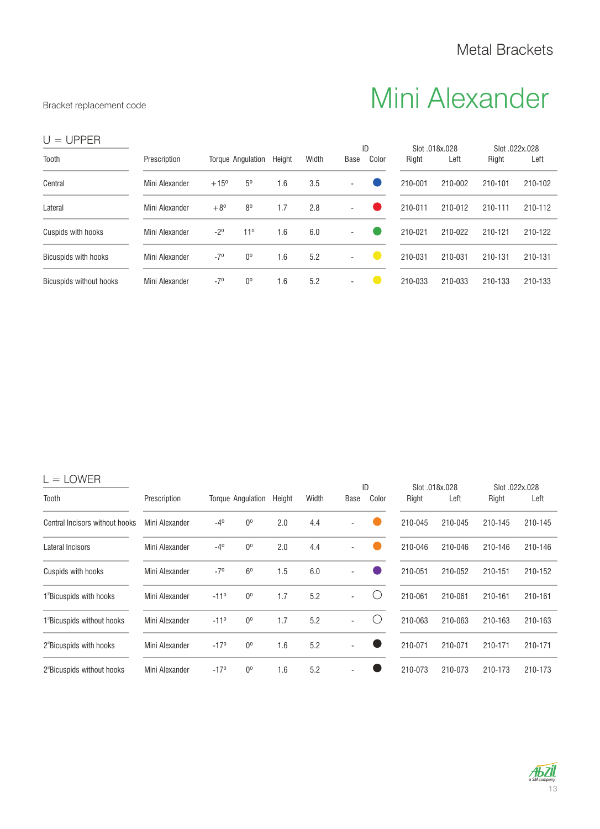## Bracket replacement code **Mini Alexander**

| $U = UPPER$                    |                |               |                   |        |       |                          |             |         |                        |                         |         |
|--------------------------------|----------------|---------------|-------------------|--------|-------|--------------------------|-------------|---------|------------------------|-------------------------|---------|
| Tooth                          | Prescription   |               | Torque Angulation | Height | Width | Base                     | ID<br>Color | Right   | Slot .018x.028<br>Left | Slot .022x.028<br>Right | Left    |
| Central                        | Mini Alexander | $+15^{\circ}$ | 5 <sup>0</sup>    | 1.6    | 3.5   | $\overline{\phantom{a}}$ |             | 210-001 | 210-002                | 210-101                 | 210-102 |
| Lateral                        | Mini Alexander | $+8^{0}$      | 8 <sup>0</sup>    | 1.7    | 2.8   | $\overline{\phantom{a}}$ |             | 210-011 | 210-012                | 210-111                 | 210-112 |
| Cuspids with hooks             | Mini Alexander | $-2^{\circ}$  | $11^{\circ}$      | 1.6    | 6.0   | $\sim$                   |             | 210-021 | 210-022                | 210-121                 | 210-122 |
| <b>Bicuspids with hooks</b>    | Mini Alexander | $-7°$         | $0^{\circ}$       | 1.6    | 5.2   | $\overline{\phantom{a}}$ |             | 210-031 | 210-031                | 210-131                 | 210-131 |
| <b>Bicuspids without hooks</b> | Mini Alexander | $-7^{\circ}$  | $0^{\circ}$       | 1.6    | 5.2   | $\overline{\phantom{a}}$ |             | 210-033 | 210-033                | 210-133                 | 210-133 |

|--|--|

| ∟∪ , , ∟ , ,                           |                | ID            |                          |        |       |      | Slot .018x.028 | Slot .022x.028 |         |         |         |
|----------------------------------------|----------------|---------------|--------------------------|--------|-------|------|----------------|----------------|---------|---------|---------|
| Tooth                                  | Prescription   |               | <b>Torque Angulation</b> | Height | Width | Base | Color          | Right          | Left    | Right   | Left    |
| Central Incisors without hooks         | Mini Alexander | $-4^{\circ}$  | $0^{\circ}$              | 2.0    | 4.4   |      |                | 210-045        | 210-045 | 210-145 | 210-145 |
| Lateral Incisors                       | Mini Alexander | $-4^{\circ}$  | $0^{\circ}$              | 2.0    | 4.4   |      |                | 210-046        | 210-046 | 210-146 | 210-146 |
| Cuspids with hooks                     | Mini Alexander | $-7^{\circ}$  | 6 <sup>0</sup>           | 1.5    | 6.0   |      |                | 210-051        | 210-052 | 210-151 | 210-152 |
| 1 Bicuspids with hooks                 | Mini Alexander | $-11^{\circ}$ | $0^{\circ}$              | 1.7    | 5.2   | ۰    |                | 210-061        | 210-061 | 210-161 | 210-161 |
| 1 Bicuspids without hooks              | Mini Alexander | $-11^{\circ}$ | $0^{\circ}$              | 1.7    | 5.2   |      |                | 210-063        | 210-063 | 210-163 | 210-163 |
| 2 <sup>s</sup> Bicuspids with hooks    | Mini Alexander | $-17°$        | $0^{\circ}$              | 1.6    | 5.2   |      |                | 210-071        | 210-071 | 210-171 | 210-171 |
| 2 <sup>s</sup> Bicuspids without hooks | Mini Alexander | $-17°$        | 0 <sup>o</sup>           | 1.6    | 5.2   |      |                | 210-073        | 210-073 | 210-173 | 210-173 |

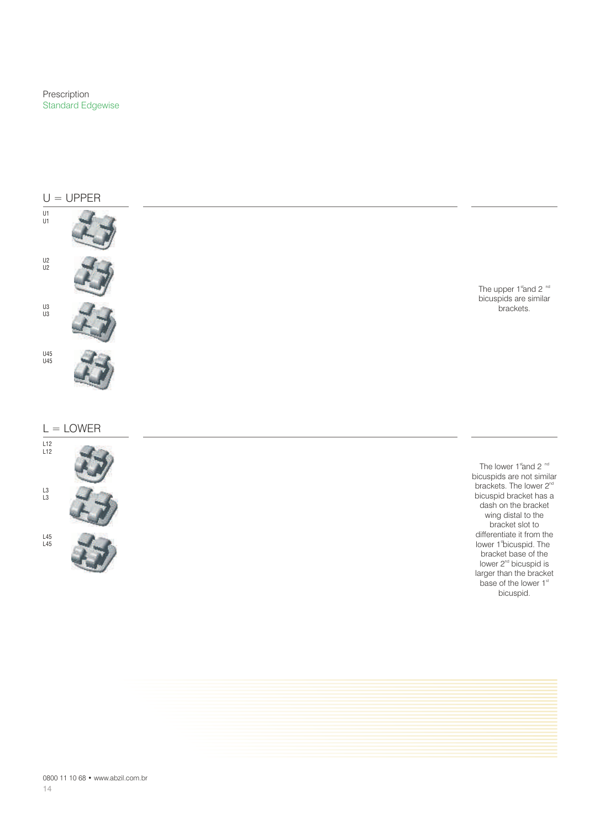Prescription Standard Edgewise